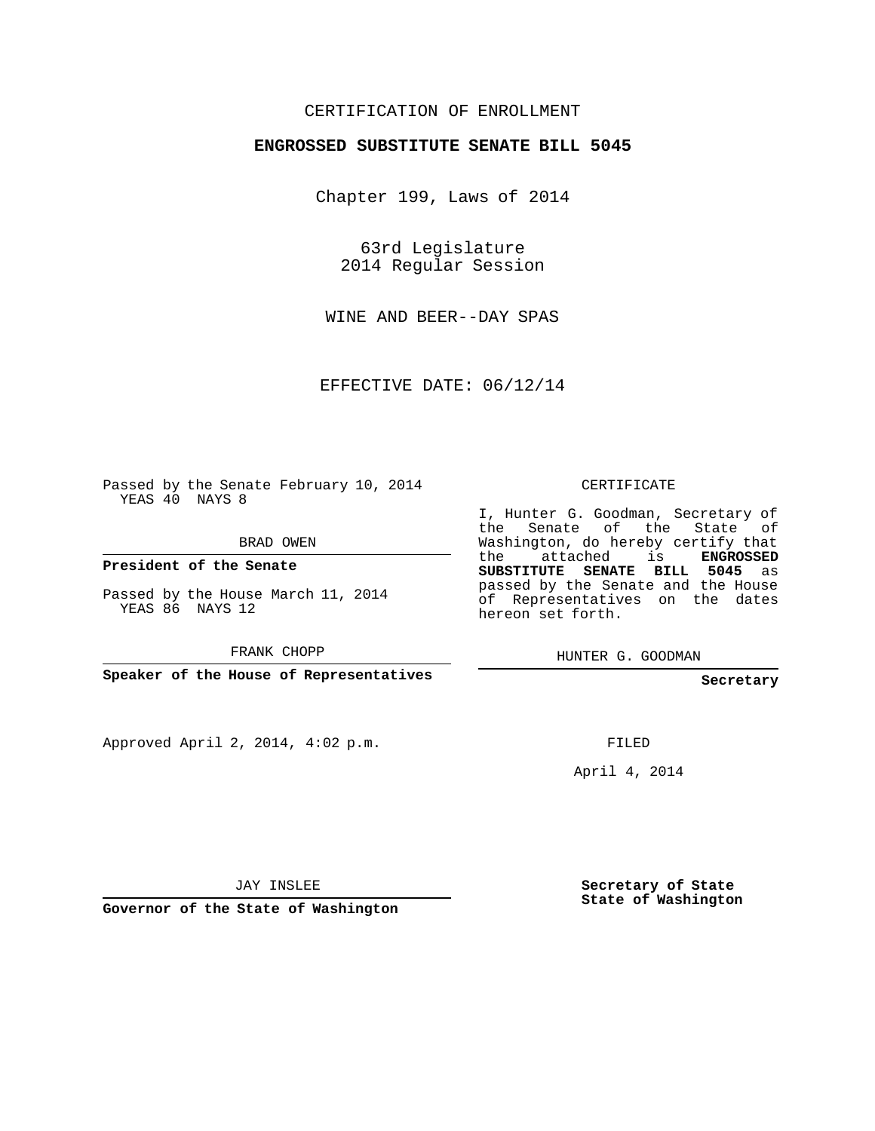## CERTIFICATION OF ENROLLMENT

## **ENGROSSED SUBSTITUTE SENATE BILL 5045**

Chapter 199, Laws of 2014

63rd Legislature 2014 Regular Session

WINE AND BEER--DAY SPAS

EFFECTIVE DATE: 06/12/14

Passed by the Senate February 10, 2014 YEAS 40 NAYS 8

BRAD OWEN

**President of the Senate**

Passed by the House March 11, 2014 YEAS 86 NAYS 12

FRANK CHOPP

**Speaker of the House of Representatives**

Approved April 2, 2014, 4:02 p.m.

CERTIFICATE

I, Hunter G. Goodman, Secretary of the Senate of the State of Washington, do hereby certify that the attached is **ENGROSSED SUBSTITUTE SENATE BILL 5045** as passed by the Senate and the House of Representatives on the dates hereon set forth.

HUNTER G. GOODMAN

**Secretary**

FILED

April 4, 2014

JAY INSLEE

**Governor of the State of Washington**

**Secretary of State State of Washington**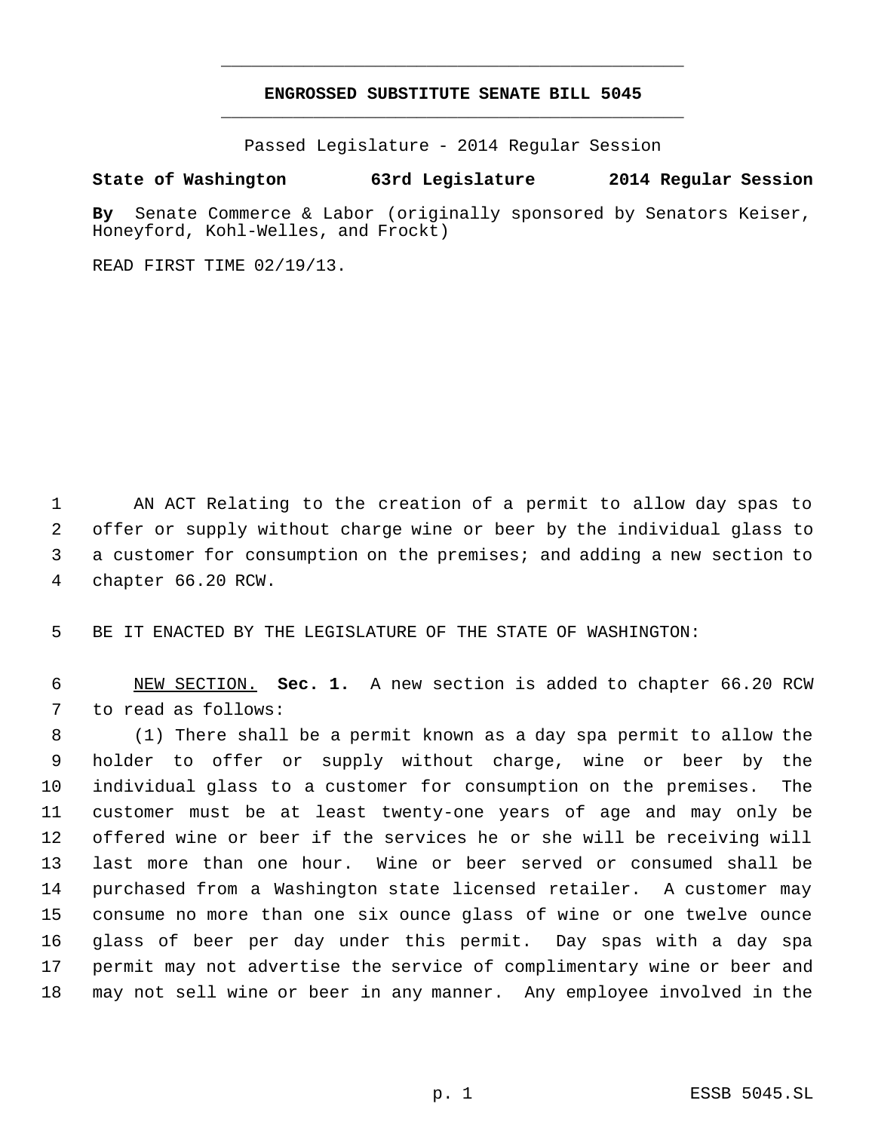## **ENGROSSED SUBSTITUTE SENATE BILL 5045** \_\_\_\_\_\_\_\_\_\_\_\_\_\_\_\_\_\_\_\_\_\_\_\_\_\_\_\_\_\_\_\_\_\_\_\_\_\_\_\_\_\_\_\_\_

\_\_\_\_\_\_\_\_\_\_\_\_\_\_\_\_\_\_\_\_\_\_\_\_\_\_\_\_\_\_\_\_\_\_\_\_\_\_\_\_\_\_\_\_\_

Passed Legislature - 2014 Regular Session

## **State of Washington 63rd Legislature 2014 Regular Session**

**By** Senate Commerce & Labor (originally sponsored by Senators Keiser, Honeyford, Kohl-Welles, and Frockt)

READ FIRST TIME 02/19/13.

 AN ACT Relating to the creation of a permit to allow day spas to offer or supply without charge wine or beer by the individual glass to a customer for consumption on the premises; and adding a new section to chapter 66.20 RCW.

BE IT ENACTED BY THE LEGISLATURE OF THE STATE OF WASHINGTON:

 NEW SECTION. **Sec. 1.** A new section is added to chapter 66.20 RCW to read as follows:

 (1) There shall be a permit known as a day spa permit to allow the holder to offer or supply without charge, wine or beer by the individual glass to a customer for consumption on the premises. The customer must be at least twenty-one years of age and may only be offered wine or beer if the services he or she will be receiving will last more than one hour. Wine or beer served or consumed shall be purchased from a Washington state licensed retailer. A customer may consume no more than one six ounce glass of wine or one twelve ounce glass of beer per day under this permit. Day spas with a day spa permit may not advertise the service of complimentary wine or beer and may not sell wine or beer in any manner. Any employee involved in the